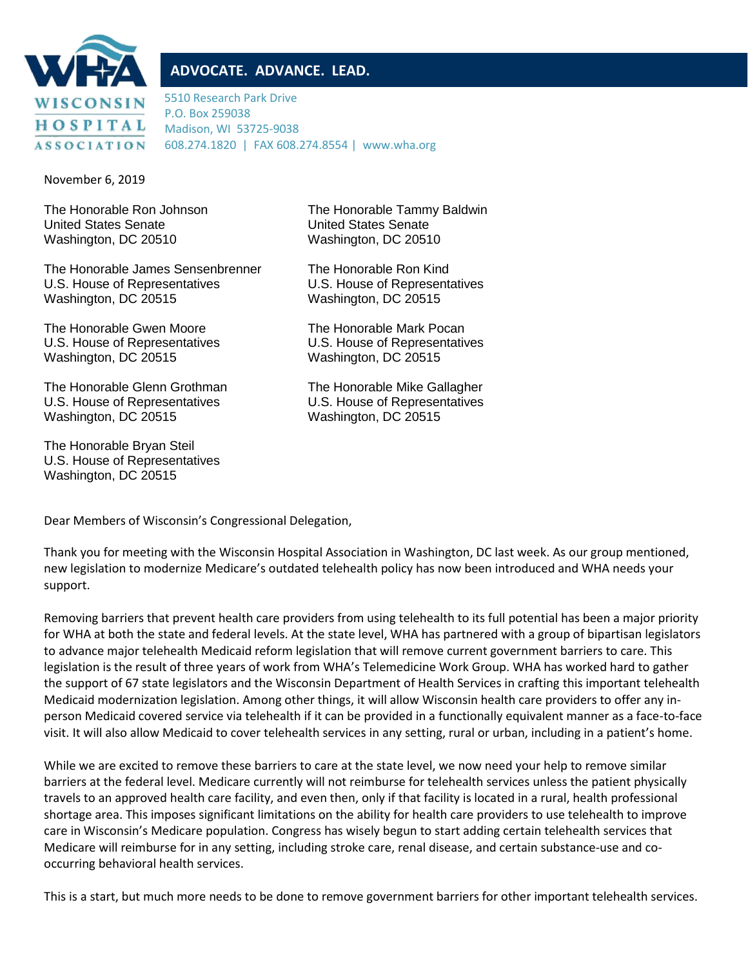

# **ADVOCATE. ADVANCE. LEAD.**

5510 Research Park Drive P.O. Box 259038 Madison, WI 53725-9038 608.274.1820 | FAX 608.274.8554 | www.wha.org

November 6, 2019

United States Senate United States Senate Washington, DC 20510 Washington, DC 20510

The Honorable James Sensenbrenner The Honorable Ron Kind U.S. House of Representatives U.S. House of Representatives Washington, DC 20515 Washington, DC 20515

The Honorable Gwen Moore The Honorable Mark Pocan Washington, DC 20515 Washington, DC 20515

The Honorable Glenn Grothman The Honorable Mike Gallagher U.S. House of Representatives U.S. House of Representatives Washington, DC 20515 Washington, DC 20515

The Honorable Bryan Steil U.S. House of Representatives Washington, DC 20515

The Honorable Ron Johnson The Honorable Tammy Baldwin

U.S. House of Representatives U.S. House of Representatives

Dear Members of Wisconsin's Congressional Delegation,

Thank you for meeting with the Wisconsin Hospital Association in Washington, DC last week. As our group mentioned, new legislation to modernize Medicare's outdated telehealth policy has now been introduced and WHA needs your support.

Removing barriers that prevent health care providers from using telehealth to its full potential has been a major priority for WHA at both the state and federal levels. At the state level, WHA has partnered with a group of bipartisan legislators to advance major telehealth Medicaid reform legislation that will remove current government barriers to care. This legislation is the result of three years of work from WHA's Telemedicine Work Group. WHA has worked hard to gather the support of 67 state legislators and the Wisconsin Department of Health Services in crafting this important telehealth Medicaid modernization legislation. Among other things, it will allow Wisconsin health care providers to offer any inperson Medicaid covered service via telehealth if it can be provided in a functionally equivalent manner as a face-to-face visit. It will also allow Medicaid to cover telehealth services in any setting, rural or urban, including in a patient's home.

While we are excited to remove these barriers to care at the state level, we now need your help to remove similar barriers at the federal level. Medicare currently will not reimburse for telehealth services unless the patient physically travels to an approved health care facility, and even then, only if that facility is located in a rural, health professional shortage area. This imposes significant limitations on the ability for health care providers to use telehealth to improve care in Wisconsin's Medicare population. Congress has wisely begun to start adding certain telehealth services that Medicare will reimburse for in any setting, including stroke care, renal disease, and certain substance-use and cooccurring behavioral health services.

This is a start, but much more needs to be done to remove government barriers for other important telehealth services.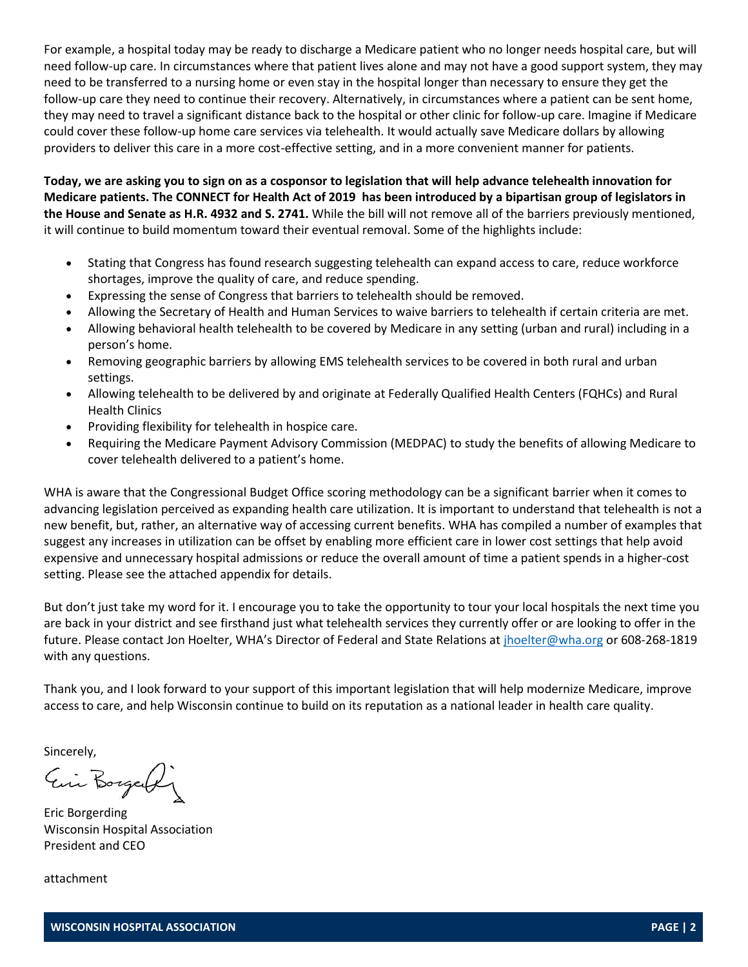For example, a hospital today may be ready to discharge a Medicare patient who no longer needs hospital care, but will need follow-up care. In circumstances where that patient lives alone and may not have a good support system, they may need to be transferred to a nursing home or even stay in the hospital longer than necessary to ensure they get the follow-up care they need to continue their recovery. Alternatively, in circumstances where a patient can be sent home, they may need to travel a significant distance back to the hospital or other clinic for follow-up care. Imagine if Medicare could cover these follow-up home care services via telehealth. It would actually save Medicare dollars by allowing providers to deliver this care in a more cost-effective setting, and in a more convenient manner for patients.

**Today, we are asking you to sign on as a cosponsor to legislation that will help advance telehealth innovation for Medicare patients. The CONNECT for Health Act of 2019 has been introduced by a bipartisan group of legislators in the House and Senate as H.R. 4932 and S. 2741.** While the bill will not remove all of the barriers previously mentioned, it will continue to build momentum toward their eventual removal. Some of the highlights include:

- Stating that Congress has found research suggesting telehealth can expand access to care, reduce workforce shortages, improve the quality of care, and reduce spending.
- Expressing the sense of Congress that barriers to telehealth should be removed.
- Allowing the Secretary of Health and Human Services to waive barriers to telehealth if certain criteria are met.
- Allowing behavioral health telehealth to be covered by Medicare in any setting (urban and rural) including in a person's home.
- Removing geographic barriers by allowing EMS telehealth services to be covered in both rural and urban settings.
- Allowing telehealth to be delivered by and originate at Federally Qualified Health Centers (FQHCs) and Rural Health Clinics
- Providing flexibility for telehealth in hospice care.
- Requiring the Medicare Payment Advisory Commission (MEDPAC) to study the benefits of allowing Medicare to cover telehealth delivered to a patient's home.

WHA is aware that the Congressional Budget Office scoring methodology can be a significant barrier when it comes to advancing legislation perceived as expanding health care utilization. It is important to understand that telehealth is not a new benefit, but, rather, an alternative way of accessing current benefits. WHA has compiled a number of examples that suggest any increases in utilization can be offset by enabling more efficient care in lower cost settings that help avoid expensive and unnecessary hospital admissions or reduce the overall amount of time a patient spends in a higher-cost setting. Please see the attached appendix for details.

But don't just take my word for it. I encourage you to take the opportunity to tour your local hospitals the next time you are back in your district and see firsthand just what telehealth services they currently offer or are looking to offer in the future. Please contact Jon Hoelter, WHA's Director of Federal and State Relations at [jhoelter@wha.org](mailto:jhoelter@wha.org) or 608-268-1819 with any questions.

Thank you, and I look forward to your support of this important legislation that will help modernize Medicare, improve access to care, and help Wisconsin continue to build on its reputation as a national leader in health care quality.

Sincerely,

Ein Borgerly

Eric Borgerding Wisconsin Hospital Association President and CEO

attachment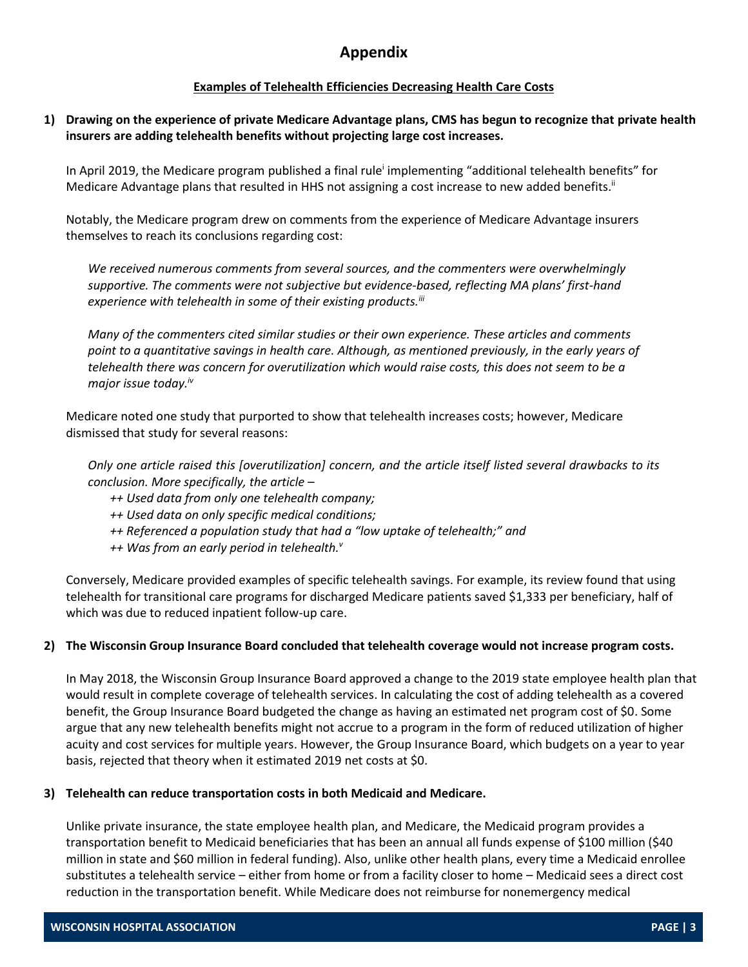# **Appendix**

### **Examples of Telehealth Efficiencies Decreasing Health Care Costs**

#### **1) Drawing on the experience of private Medicare Advantage plans, CMS has begun to recognize that private health insurers are adding telehealth benefits without projecting large cost increases.**

In April 2019, the Medicare program published a final rule<sup>i</sup> implementing "additional telehealth benefits" for Medicare Advantage plans that resulted in HHS not assigning a cost increase to new added benefits.<sup>ii</sup>

Notably, the Medicare program drew on comments from the experience of Medicare Advantage insurers themselves to reach its conclusions regarding cost:

*We received numerous comments from several sources, and the commenters were overwhelmingly supportive. The comments were not subjective but evidence-based, reflecting MA plans' first-hand experience with telehealth in some of their existing products.iii*

*Many of the commenters cited similar studies or their own experience. These articles and comments point to a quantitative savings in health care. Although, as mentioned previously, in the early years of telehealth there was concern for overutilization which would raise costs, this does not seem to be a major issue today.iv*

Medicare noted one study that purported to show that telehealth increases costs; however, Medicare dismissed that study for several reasons:

*Only one article raised this [overutilization] concern, and the article itself listed several drawbacks to its conclusion. More specifically, the article –*

- *++ Used data from only one telehealth company;*
- *++ Used data on only specific medical conditions;*
- *++ Referenced a population study that had a "low uptake of telehealth;" and*
- *++ Was from an early period in telehealth.<sup>v</sup>*

Conversely, Medicare provided examples of specific telehealth savings. For example, its review found that using telehealth for transitional care programs for discharged Medicare patients saved \$1,333 per beneficiary, half of which was due to reduced inpatient follow-up care.

#### **2) The Wisconsin Group Insurance Board concluded that telehealth coverage would not increase program costs.**

In May 2018, the Wisconsin Group Insurance Board approved a change to the 2019 state employee health plan that would result in complete coverage of telehealth services. In calculating the cost of adding telehealth as a covered benefit, the Group Insurance Board budgeted the change as having an estimated net program cost of \$0. Some argue that any new telehealth benefits might not accrue to a program in the form of reduced utilization of higher acuity and cost services for multiple years. However, the Group Insurance Board, which budgets on a year to year basis, rejected that theory when it estimated 2019 net costs at \$0.

#### **3) Telehealth can reduce transportation costs in both Medicaid and Medicare.**

Unlike private insurance, the state employee health plan, and Medicare, the Medicaid program provides a transportation benefit to Medicaid beneficiaries that has been an annual all funds expense of \$100 million (\$40 million in state and \$60 million in federal funding). Also, unlike other health plans, every time a Medicaid enrollee substitutes a telehealth service – either from home or from a facility closer to home – Medicaid sees a direct cost reduction in the transportation benefit. While Medicare does not reimburse for nonemergency medical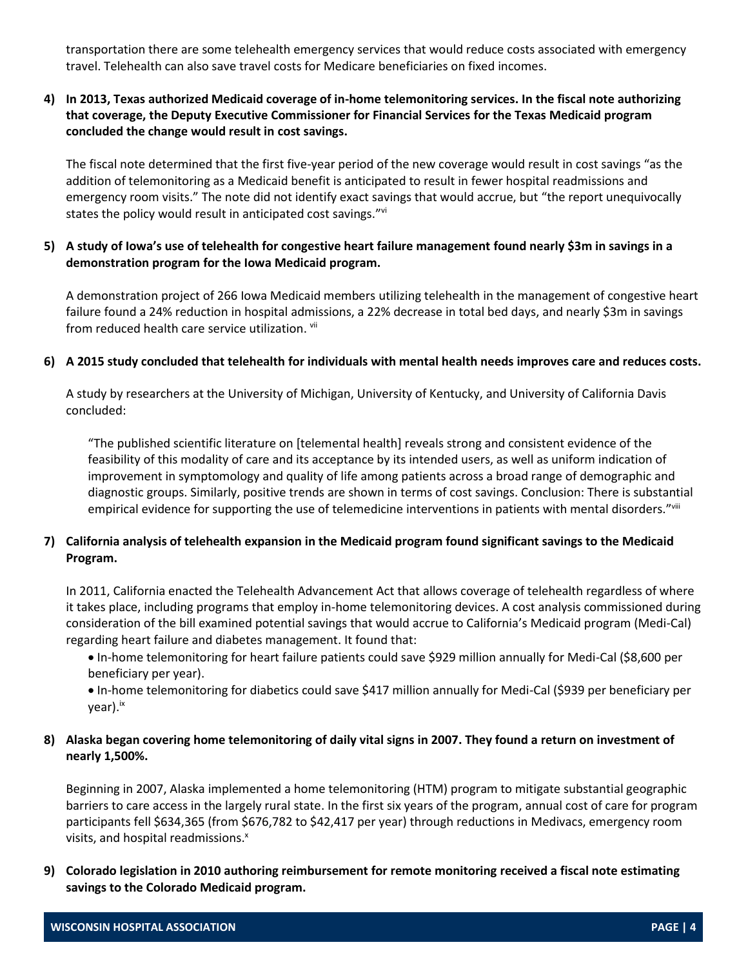transportation there are some telehealth emergency services that would reduce costs associated with emergency travel. Telehealth can also save travel costs for Medicare beneficiaries on fixed incomes.

## **4) In 2013, Texas authorized Medicaid coverage of in-home telemonitoring services. In the fiscal note authorizing that coverage, the Deputy Executive Commissioner for Financial Services for the Texas Medicaid program concluded the change would result in cost savings.**

The fiscal note determined that the first five-year period of the new coverage would result in cost savings "as the addition of telemonitoring as a Medicaid benefit is anticipated to result in fewer hospital readmissions and emergency room visits." The note did not identify exact savings that would accrue, but "the report unequivocally states the policy would result in anticipated cost savings."<sup>vi</sup>

### **5) A study of Iowa's use of telehealth for congestive heart failure management found nearly \$3m in savings in a demonstration program for the Iowa Medicaid program.**

A demonstration project of 266 Iowa Medicaid members utilizing telehealth in the management of congestive heart failure found a 24% reduction in hospital admissions, a 22% decrease in total bed days, and nearly \$3m in savings from reduced health care service utilization. <sup>vii</sup>

#### **6) A 2015 study concluded that telehealth for individuals with mental health needs improves care and reduces costs.**

A study by researchers at the University of Michigan, University of Kentucky, and University of California Davis concluded:

"The published scientific literature on [telemental health] reveals strong and consistent evidence of the feasibility of this modality of care and its acceptance by its intended users, as well as uniform indication of improvement in symptomology and quality of life among patients across a broad range of demographic and diagnostic groups. Similarly, positive trends are shown in terms of cost savings. Conclusion: There is substantial empirical evidence for supporting the use of telemedicine interventions in patients with mental disorders.""ii

# **7) California analysis of telehealth expansion in the Medicaid program found significant savings to the Medicaid Program.**

In 2011, California enacted the Telehealth Advancement Act that allows coverage of telehealth regardless of where it takes place, including programs that employ in-home telemonitoring devices. A cost analysis commissioned during consideration of the bill examined potential savings that would accrue to California's Medicaid program (Medi-Cal) regarding heart failure and diabetes management. It found that:

• In-home telemonitoring for heart failure patients could save \$929 million annually for Medi-Cal (\$8,600 per beneficiary per year).

• In-home telemonitoring for diabetics could save \$417 million annually for Medi-Cal (\$939 per beneficiary per year).ix

### **8) Alaska began covering home telemonitoring of daily vital signs in 2007. They found a return on investment of nearly 1,500%.**

Beginning in 2007, Alaska implemented a home telemonitoring (HTM) program to mitigate substantial geographic barriers to care access in the largely rural state. In the first six years of the program, annual cost of care for program participants fell \$634,365 (from \$676,782 to \$42,417 per year) through reductions in Medivacs, emergency room visits, and hospital readmissions.<sup>x</sup>

**9) Colorado legislation in 2010 authoring reimbursement for remote monitoring received a fiscal note estimating savings to the Colorado Medicaid program.**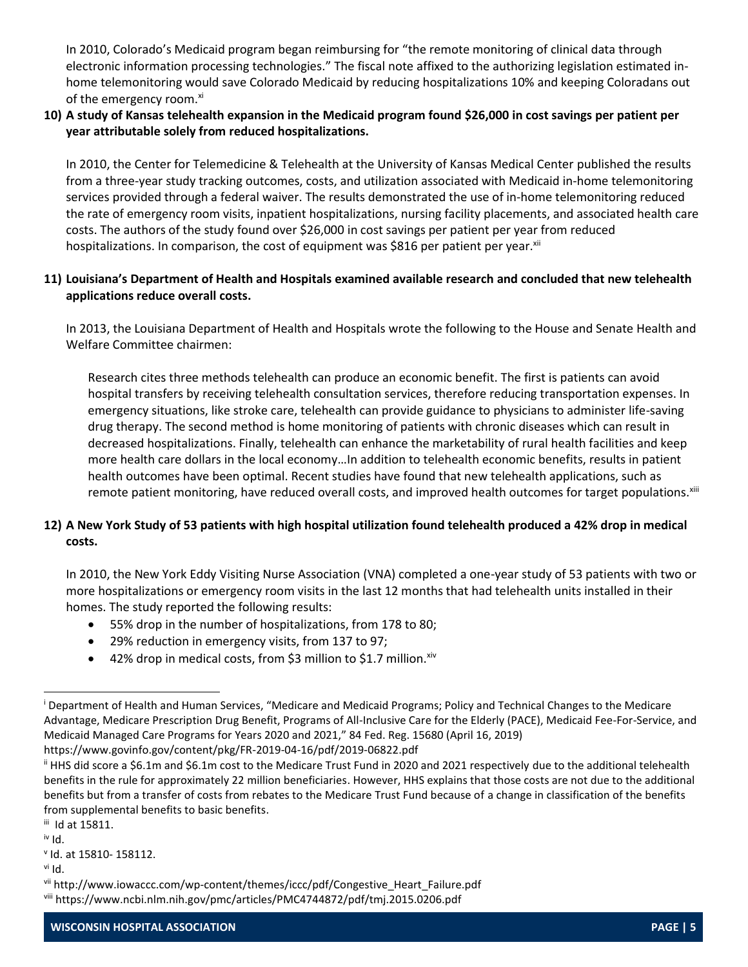In 2010, Colorado's Medicaid program began reimbursing for "the remote monitoring of clinical data through electronic information processing technologies." The fiscal note affixed to the authorizing legislation estimated inhome telemonitoring would save Colorado Medicaid by reducing hospitalizations 10% and keeping Coloradans out of the emergency room.<sup>xi</sup>

# **10) A study of Kansas telehealth expansion in the Medicaid program found \$26,000 in cost savings per patient per year attributable solely from reduced hospitalizations.**

In 2010, the Center for Telemedicine & Telehealth at the University of Kansas Medical Center published the results from a three-year study tracking outcomes, costs, and utilization associated with Medicaid in-home telemonitoring services provided through a federal waiver. The results demonstrated the use of in-home telemonitoring reduced the rate of emergency room visits, inpatient hospitalizations, nursing facility placements, and associated health care costs. The authors of the study found over \$26,000 in cost savings per patient per year from reduced hospitalizations. In comparison, the cost of equipment was \$816 per patient per year. xii

# **11) Louisiana's Department of Health and Hospitals examined available research and concluded that new telehealth applications reduce overall costs.**

In 2013, the Louisiana Department of Health and Hospitals wrote the following to the House and Senate Health and Welfare Committee chairmen:

Research cites three methods telehealth can produce an economic benefit. The first is patients can avoid hospital transfers by receiving telehealth consultation services, therefore reducing transportation expenses. In emergency situations, like stroke care, telehealth can provide guidance to physicians to administer life-saving drug therapy. The second method is home monitoring of patients with chronic diseases which can result in decreased hospitalizations. Finally, telehealth can enhance the marketability of rural health facilities and keep more health care dollars in the local economy…In addition to telehealth economic benefits, results in patient health outcomes have been optimal. Recent studies have found that new telehealth applications, such as remote patient monitoring, have reduced overall costs, and improved health outcomes for target populations.<sup>xiii</sup>

# **12) A New York Study of 53 patients with high hospital utilization found telehealth produced a 42% drop in medical costs.**

In 2010, the New York Eddy Visiting Nurse Association (VNA) completed a one-year study of 53 patients with two or more hospitalizations or emergency room visits in the last 12 months that had telehealth units installed in their homes. The study reported the following results:

- 55% drop in the number of hospitalizations, from 178 to 80;
- 29% reduction in emergency visits, from 137 to 97;
- 42% drop in medical costs, from \$3 million to \$1.7 million. $x^{iv}$

https://www.govinfo.gov/content/pkg/FR-2019-04-16/pdf/2019-06822.pdf

 $\overline{a}$ 

<sup>i</sup> Department of Health and Human Services, "Medicare and Medicaid Programs; Policy and Technical Changes to the Medicare Advantage, Medicare Prescription Drug Benefit, Programs of All-Inclusive Care for the Elderly (PACE), Medicaid Fee-For-Service, and Medicaid Managed Care Programs for Years 2020 and 2021," 84 Fed. Reg. 15680 (April 16, 2019)

ii HHS did score a \$6.1m and \$6.1m cost to the Medicare Trust Fund in 2020 and 2021 respectively due to the additional telehealth benefits in the rule for approximately 22 million beneficiaries. However, HHS explains that those costs are not due to the additional benefits but from a transfer of costs from rebates to the Medicare Trust Fund because of a change in classification of the benefits from supplemental benefits to basic benefits.

iii Id at 15811.

iv Id.

v Id. at 15810- 158112.

vi Id.

vii http://www.iowaccc.com/wp-content/themes/iccc/pdf/Congestive\_Heart\_Failure.pdf viii https://www.ncbi.nlm.nih.gov/pmc/articles/PMC4744872/pdf/tmj.2015.0206.pdf